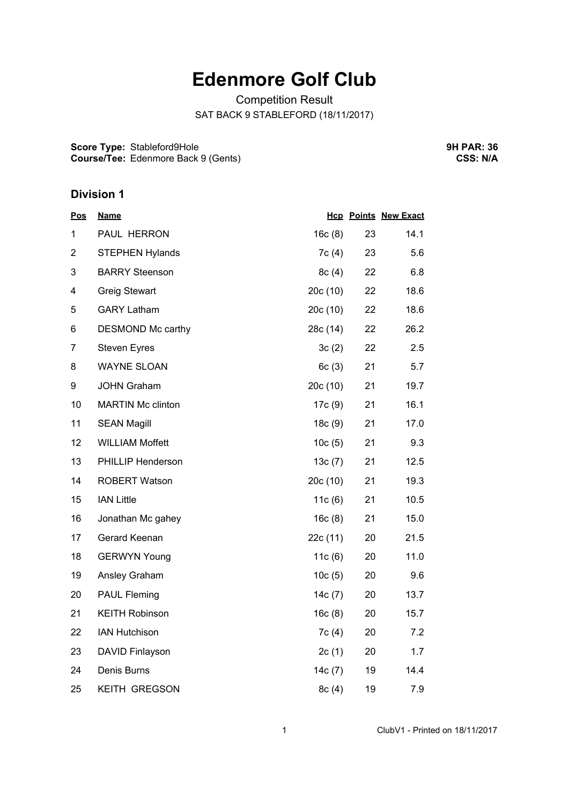# **Edenmore Golf Club**

Competition Result SAT BACK 9 STABLEFORD (18/11/2017)

**Score Type:** Stableford9Hole **Course/Tee:** Edenmore Back 9 (Gents) **9H PAR: 36 CSS: N/A**

#### **Division 1**

| <u>Pos</u>     | <b>Name</b>              |          |    | <b>Hcp Points New Exact</b> |
|----------------|--------------------------|----------|----|-----------------------------|
| 1              | PAUL HERRON              | 16c(8)   | 23 | 14.1                        |
| $\overline{2}$ | <b>STEPHEN Hylands</b>   | 7c(4)    | 23 | 5.6                         |
| 3              | <b>BARRY Steenson</b>    | 8c(4)    | 22 | 6.8                         |
| 4              | <b>Greig Stewart</b>     | 20c (10) | 22 | 18.6                        |
| 5              | <b>GARY Latham</b>       | 20c(10)  | 22 | 18.6                        |
| 6              | DESMOND Mc carthy        | 28c (14) | 22 | 26.2                        |
| $\overline{7}$ | <b>Steven Eyres</b>      | 3c(2)    | 22 | 2.5                         |
| 8              | <b>WAYNE SLOAN</b>       | 6c(3)    | 21 | 5.7                         |
| 9              | <b>JOHN Graham</b>       | 20c(10)  | 21 | 19.7                        |
| 10             | <b>MARTIN Mc clinton</b> | 17c (9)  | 21 | 16.1                        |
| 11             | <b>SEAN Magill</b>       | 18c(9)   | 21 | 17.0                        |
| 12             | <b>WILLIAM Moffett</b>   | 10c(5)   | 21 | 9.3                         |
| 13             | PHILLIP Henderson        | 13c(7)   | 21 | 12.5                        |
| 14             | <b>ROBERT Watson</b>     | 20c (10) | 21 | 19.3                        |
| 15             | <b>IAN Little</b>        | 11c(6)   | 21 | 10.5                        |
| 16             | Jonathan Mc gahey        | 16c(8)   | 21 | 15.0                        |
| 17             | Gerard Keenan            | 22c (11) | 20 | 21.5                        |
| 18             | <b>GERWYN Young</b>      | 11c(6)   | 20 | 11.0                        |
| 19             | Ansley Graham            | 10c(5)   | 20 | 9.6                         |
| 20             | <b>PAUL Fleming</b>      | 14c (7)  | 20 | 13.7                        |
| 21             | <b>KEITH Robinson</b>    | 16c(8)   | 20 | 15.7                        |
| 22             | <b>IAN Hutchison</b>     | 7c(4)    | 20 | 7.2                         |
| 23             | DAVID Finlayson          | 2c(1)    | 20 | 1.7                         |
| 24             | Denis Burns              | 14c(7)   | 19 | 14.4                        |
| 25             | <b>KEITH GREGSON</b>     | 8c(4)    | 19 | 7.9                         |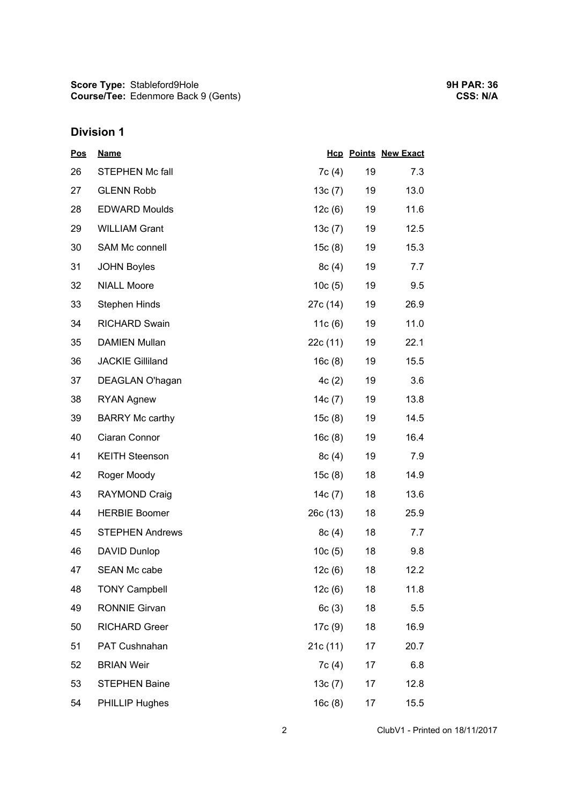### **Division 1**

| <b>Pos</b> | <b>Name</b>             |           |    | <b>Hcp Points New Exact</b> |
|------------|-------------------------|-----------|----|-----------------------------|
| 26         | <b>STEPHEN Mc fall</b>  | 7c(4)     | 19 | 7.3                         |
| 27         | <b>GLENN Robb</b>       | 13c(7)    | 19 | 13.0                        |
| 28         | <b>EDWARD Moulds</b>    | 12c(6)    | 19 | 11.6                        |
| 29         | <b>WILLIAM Grant</b>    | 13c(7)    | 19 | 12.5                        |
| 30         | SAM Mc connell          | 15c(8)    | 19 | 15.3                        |
| 31         | <b>JOHN Boyles</b>      | 8c(4)     | 19 | 7.7                         |
| 32         | <b>NIALL Moore</b>      | 10c(5)    | 19 | 9.5                         |
| 33         | <b>Stephen Hinds</b>    | 27c (14)  | 19 | 26.9                        |
| 34         | <b>RICHARD Swain</b>    | 11 $c(6)$ | 19 | 11.0                        |
| 35         | <b>DAMIEN Mullan</b>    | 22c (11)  | 19 | 22.1                        |
| 36         | <b>JACKIE Gilliland</b> | 16c(8)    | 19 | 15.5                        |
| 37         | DEAGLAN O'hagan         | 4c(2)     | 19 | 3.6                         |
| 38         | <b>RYAN Agnew</b>       | 14c(7)    | 19 | 13.8                        |
| 39         | <b>BARRY Mc carthy</b>  | 15c(8)    | 19 | 14.5                        |
| 40         | Ciaran Connor           | 16c(8)    | 19 | 16.4                        |
| 41         | <b>KEITH Steenson</b>   | 8c(4)     | 19 | 7.9                         |
| 42         | Roger Moody             | 15c(8)    | 18 | 14.9                        |
| 43         | <b>RAYMOND Craig</b>    | 14c (7)   | 18 | 13.6                        |
| 44         | <b>HERBIE Boomer</b>    | 26c(13)   | 18 | 25.9                        |
| 45         | <b>STEPHEN Andrews</b>  | 8c(4)     | 18 | 7.7                         |
| 46         | <b>DAVID Dunlop</b>     | 10c(5)    | 18 | 9.8                         |
| 47         | <b>SEAN Mc cabe</b>     | 12c(6)    | 18 | 12.2                        |
| 48         | <b>TONY Campbell</b>    | 12c(6)    | 18 | 11.8                        |
| 49         | <b>RONNIE Girvan</b>    | 6c(3)     | 18 | 5.5                         |
| 50         | <b>RICHARD Greer</b>    | 17c (9)   | 18 | 16.9                        |
| 51         | PAT Cushnahan           | 21c (11)  | 17 | 20.7                        |
| 52         | <b>BRIAN Weir</b>       | 7c(4)     | 17 | 6.8                         |
| 53         | <b>STEPHEN Baine</b>    | 13c(7)    | 17 | 12.8                        |
| 54         | PHILLIP Hughes          | 16c(8)    | 17 | 15.5                        |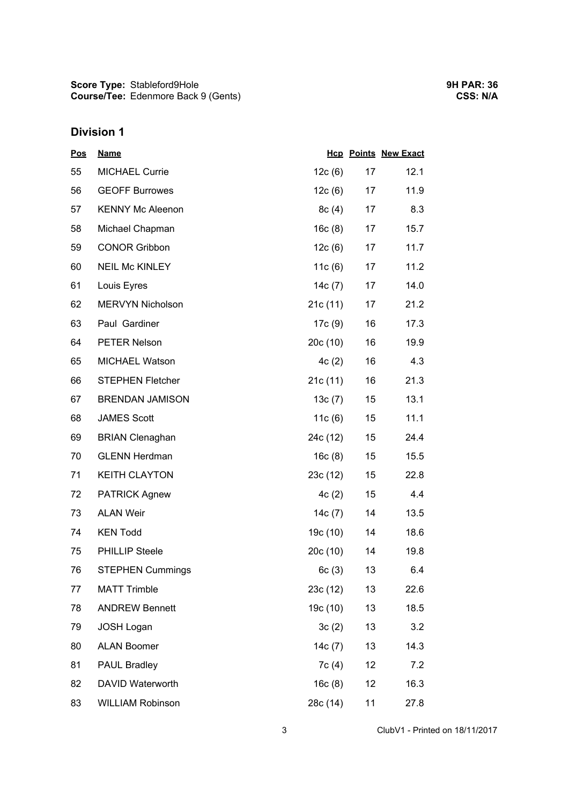## **Division 1**

| <u>Pos</u> | <b>Name</b>             |           |    | <b>Hcp Points New Exact</b> |
|------------|-------------------------|-----------|----|-----------------------------|
| 55         | <b>MICHAEL Currie</b>   | 12c(6)    | 17 | 12.1                        |
| 56         | <b>GEOFF Burrowes</b>   | 12c(6)    | 17 | 11.9                        |
| 57         | <b>KENNY Mc Aleenon</b> | 8c(4)     | 17 | 8.3                         |
| 58         | Michael Chapman         | 16c(8)    | 17 | 15.7                        |
| 59         | <b>CONOR Gribbon</b>    | 12c(6)    | 17 | 11.7                        |
| 60         | <b>NEIL Mc KINLEY</b>   | 11 $c(6)$ | 17 | 11.2                        |
| 61         | Louis Eyres             | 14c(7)    | 17 | 14.0                        |
| 62         | MERVYN Nicholson        | 21c(11)   | 17 | 21.2                        |
| 63         | Paul Gardiner           | 17c(9)    | 16 | 17.3                        |
| 64         | <b>PETER Nelson</b>     | 20c(10)   | 16 | 19.9                        |
| 65         | MICHAEL Watson          | 4c(2)     | 16 | 4.3                         |
| 66         | <b>STEPHEN Fletcher</b> | 21c(11)   | 16 | 21.3                        |
| 67         | <b>BRENDAN JAMISON</b>  | 13c(7)    | 15 | 13.1                        |
| 68         | <b>JAMES Scott</b>      | 11 $c(6)$ | 15 | 11.1                        |
| 69         | <b>BRIAN Clenaghan</b>  | 24c (12)  | 15 | 24.4                        |
| 70         | <b>GLENN Herdman</b>    | 16c(8)    | 15 | 15.5                        |
| 71         | <b>KEITH CLAYTON</b>    | 23c(12)   | 15 | 22.8                        |
| 72         | <b>PATRICK Agnew</b>    | 4c(2)     | 15 | 4.4                         |
| 73         | <b>ALAN Weir</b>        | 14c(7)    | 14 | 13.5                        |
| 74         | <b>KEN Todd</b>         | 19c (10)  | 14 | 18.6                        |
| 75         | <b>PHILLIP Steele</b>   | 20c(10)   | 14 | 19.8                        |
| 76         | <b>STEPHEN Cummings</b> | 6c(3)     | 13 | 6.4                         |
| 77         | <b>MATT Trimble</b>     | 23c (12)  | 13 | 22.6                        |
| 78         | <b>ANDREW Bennett</b>   | 19c (10)  | 13 | 18.5                        |
| 79         | <b>JOSH Logan</b>       | 3c(2)     | 13 | 3.2                         |
| 80         | <b>ALAN Boomer</b>      | 14 $c(7)$ | 13 | 14.3                        |
| 81         | <b>PAUL Bradley</b>     | 7c(4)     | 12 | 7.2                         |
| 82         | DAVID Waterworth        | 16c(8)    | 12 | 16.3                        |
| 83         | <b>WILLIAM Robinson</b> | 28c (14)  | 11 | 27.8                        |